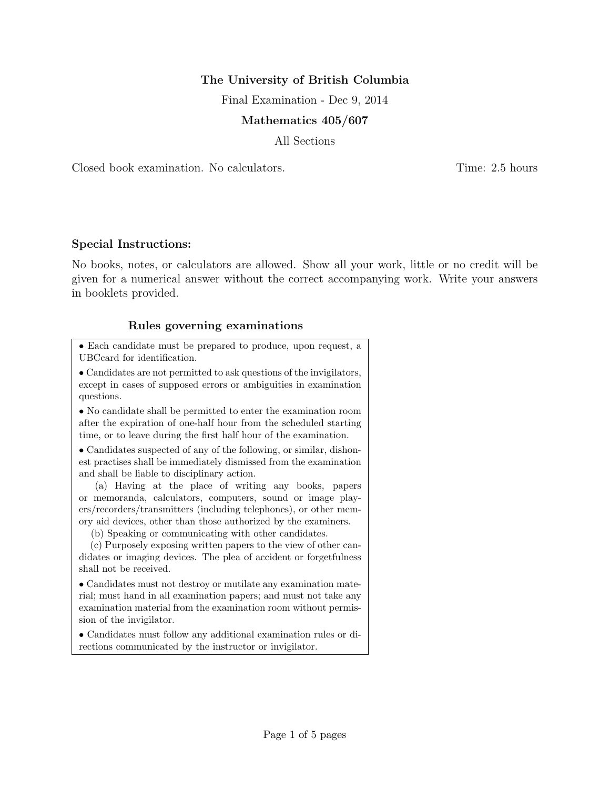## The University of British Columbia

Final Examination - Dec 9, 2014

## Mathematics 405/607

All Sections

Closed book examination. No calculators. Time: 2.5 hours

## Special Instructions:

No books, notes, or calculators are allowed. Show all your work, little or no credit will be given for a numerical answer without the correct accompanying work. Write your answers in booklets provided.

## Rules governing examinations

• Each candidate must be prepared to produce, upon request, a UBCcard for identification.

• Candidates are not permitted to ask questions of the invigilators, except in cases of supposed errors or ambiguities in examination questions.

• No candidate shall be permitted to enter the examination room after the expiration of one-half hour from the scheduled starting time, or to leave during the first half hour of the examination.

• Candidates suspected of any of the following, or similar, dishonest practises shall be immediately dismissed from the examination and shall be liable to disciplinary action.

(a) Having at the place of writing any books, papers or memoranda, calculators, computers, sound or image players/recorders/transmitters (including telephones), or other memory aid devices, other than those authorized by the examiners.

(b) Speaking or communicating with other candidates.

(c) Purposely exposing written papers to the view of other candidates or imaging devices. The plea of accident or forgetfulness shall not be received.

• Candidates must not destroy or mutilate any examination material; must hand in all examination papers; and must not take any examination material from the examination room without permission of the invigilator.

• Candidates must follow any additional examination rules or directions communicated by the instructor or invigilator.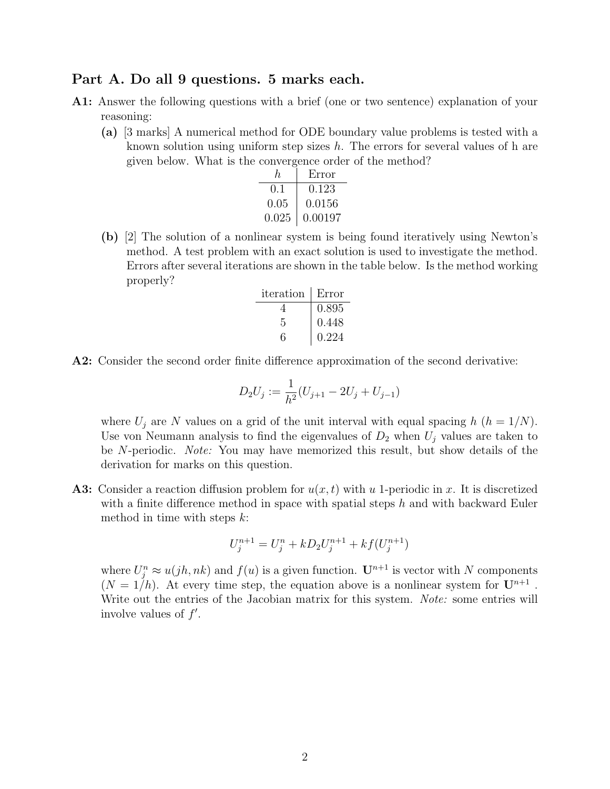## Part A. Do all 9 questions. 5 marks each.

- A1: Answer the following questions with a brief (one or two sentence) explanation of your reasoning:
	- (a) [3 marks] A numerical method for ODE boundary value problems is tested with a known solution using uniform step sizes  $h$ . The errors for several values of h are given below. What is the convergence order of the method?

| h.        | Error   |
|-----------|---------|
| $(1)$ . 1 | 0.123   |
| 0.05      | 0.0156  |
| 0.025     | 0.00197 |

(b) [2] The solution of a nonlinear system is being found iteratively using Newton's method. A test problem with an exact solution is used to investigate the method. Errors after several iterations are shown in the table below. Is the method working properly?

| iteration | Error |
|-----------|-------|
| 4         | 0.895 |
| 5         | 0.448 |
|           | 0.224 |

A2: Consider the second order finite difference approximation of the second derivative:

$$
D_2U_j := \frac{1}{h^2}(U_{j+1} - 2U_j + U_{j-1})
$$

where  $U_j$  are N values on a grid of the unit interval with equal spacing h  $(h = 1/N)$ . Use von Neumann analysis to find the eigenvalues of  $D_2$  when  $U_j$  values are taken to be N-periodic. Note: You may have memorized this result, but show details of the derivation for marks on this question.

**A3:** Consider a reaction diffusion problem for  $u(x, t)$  with u 1-periodic in x. It is discretized with a finite difference method in space with spatial steps  $h$  and with backward Euler method in time with steps  $k$ :

$$
U_j^{n+1} = U_j^n + kD_2U_j^{n+1} + kf(U_j^{n+1})
$$

where  $U_j^n \approx u(jh,nk)$  and  $f(u)$  is a given function.  $\mathbf{U}^{n+1}$  is vector with N components  $(N = 1/h)$ . At every time step, the equation above is a nonlinear system for  $\mathbf{U}^{n+1}$ . Write out the entries of the Jacobian matrix for this system. Note: some entries will involve values of  $f'$ .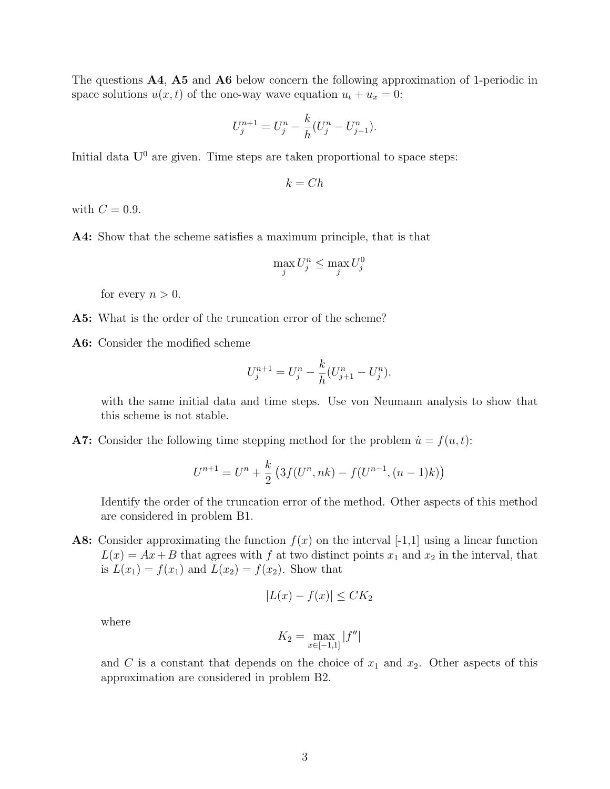The questions A4, A5 and A6 below concern the following approximation of 1-periodic in space solutions  $u(x, t)$  of the one-way wave equation  $u_t + u_x = 0$ :

$$
U_j^{n+1} = U_j^n - \frac{k}{h}(U_j^n - U_{j-1}^n).
$$

Initial data  $U^0$  are given. Time steps are taken proportional to space steps:

$$
k = Ch
$$

with  $C = 0.9$ .

A4: Show that the scheme satisfies a maximum principle, that is that

$$
\max_j U_j^n \le \max_j U_j^0
$$

for every  $n > 0$ .

- A5: What is the order of the truncation error of the scheme?
- A6: Consider the modified scheme

$$
U_j^{n+1} = U_j^n - \frac{k}{h}(U_{j+1}^n - U_j^n).
$$

with the same initial data and time steps. Use von Neumann analysis to show that this scheme is not stable.

A7: Consider the following time stepping method for the problem  $\dot{u} = f(u, t)$ :

$$
U^{n+1} = U^n + \frac{k}{2} \left( 3f(U^n, nk) - f(U^{n-1}, (n-1)k) \right)
$$

Identify the order of the truncation error of the method. Other aspects of this method are considered in problem B1.

A8: Consider approximating the function  $f(x)$  on the interval [-1,1] using a linear function  $L(x) = Ax + B$  that agrees with f at two distinct points  $x_1$  and  $x_2$  in the interval, that is  $L(x_1) = f(x_1)$  and  $L(x_2) = f(x_2)$ . Show that

$$
|L(x) - f(x)| \leq C K_2
$$

where

$$
K_2 = \max_{x \in [-1,1]} |f''|
$$

and C is a constant that depends on the choice of  $x_1$  and  $x_2$ . Other aspects of this approximation are considered in problem B2.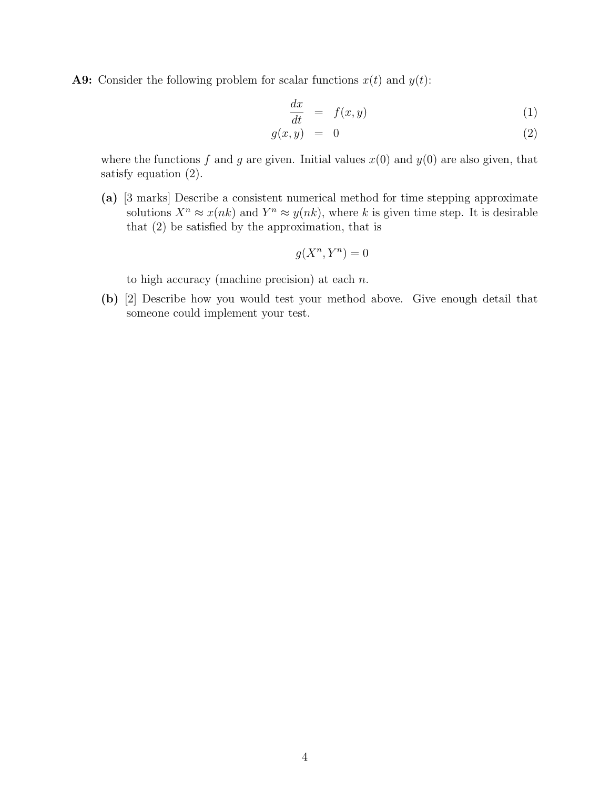**A9:** Consider the following problem for scalar functions  $x(t)$  and  $y(t)$ :

$$
\frac{dx}{dt} = f(x, y) \tag{1}
$$

$$
g(x, y) = 0 \tag{2}
$$

where the functions f and q are given. Initial values  $x(0)$  and  $y(0)$  are also given, that satisfy equation (2).

(a) [3 marks] Describe a consistent numerical method for time stepping approximate solutions  $X^n \approx x(nk)$  and  $Y^n \approx y(nk)$ , where k is given time step. It is desirable that (2) be satisfied by the approximation, that is

$$
g(X^n, Y^n) = 0
$$

to high accuracy (machine precision) at each  $n$ .

(b) [2] Describe how you would test your method above. Give enough detail that someone could implement your test.